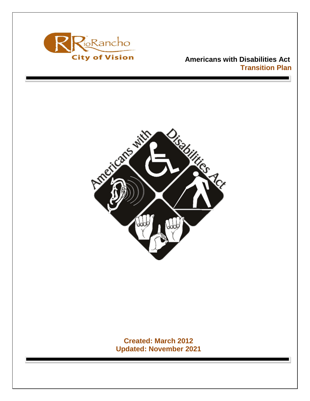

 **Americans with Disabilities Act Transition Plan**



**Created: March 2012 Updated: November 2021**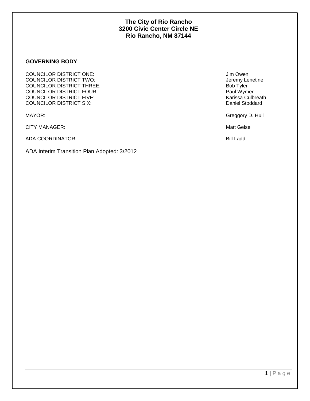#### **GOVERNING BODY**

**COUNCILOR DISTRICT ONE:**  $\qquad \qquad$  Jim Owen COUNCILOR DISTRICT TWO: Jeremy Lenetine COUNCILOR DISTRICT THREE: Bob Tyler COUNCILOR DISTRICT FOUR: Paul Wymer COUNCILOR DISTRICT FIVE: COUNCILOR DISTRICT SIX: **Daniel Stoddard** COUNCILOR DISTRICT SIX:

CITY MANAGER: WE GET A SERVICE OF THE GET AND THE MANAGER OF THE GET AND THE MATTER OF THE MATTER OF THE MATTER OF THE MATTER OF THE MATTER OF THE MATTER OF THE MATTER OF THE MATTER OF THE MATTER OF THE MATTER OF THE MATTE

ADA COORDINATOR: Bill Ladd

ADA Interim Transition Plan Adopted: 3/2012

MAYOR: Greggory D. Hull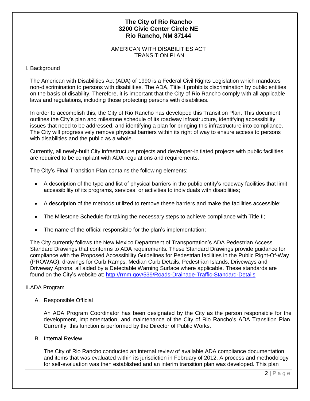#### AMERICAN WITH DISABILITIES ACT TRANSITION PLAN

#### I. Background

The American with Disabilities Act (ADA) of 1990 is a Federal Civil Rights Legislation which mandates non-discrimination to persons with disabilities. The ADA, Title II prohibits discrimination by public entities on the basis of disability. Therefore, it is important that the City of Rio Rancho comply with all applicable laws and regulations, including those protecting persons with disabilities.

In order to accomplish this, the City of Rio Rancho has developed this Transition Plan. This document outlines the City's plan and milestone schedule of its roadway infrastructure, identifying accessibility issues that need to be addressed, and identifying a plan for bringing this infrastructure into compliance. The City will progressively remove physical barriers within its right of way to ensure access to persons with disabilities and the public as a whole.

Currently, all newly-built City infrastructure projects and developer-initiated projects with public facilities are required to be compliant with ADA regulations and requirements.

The City's Final Transition Plan contains the following elements:

- A description of the type and list of physical barriers in the public entity's roadway facilities that limit accessibility of its programs, services, or activities to individuals with disabilities;
- A description of the methods utilized to remove these barriers and make the facilities accessible;
- The Milestone Schedule for taking the necessary steps to achieve compliance with Title II;
- The name of the official responsible for the plan's implementation;

The City currently follows the New Mexico Department of Transportation's ADA Pedestrian Access Standard Drawings that conforms to ADA requirements. These Standard Drawings provide guidance for compliance with the Proposed Accessibility Guidelines for Pedestrian facilities in the Public Right-Of-Way (PROWAG); drawings for Curb Ramps, Median Curb Details, Pedestrian Islands, Driveways and Driveway Aprons, all aided by a Detectable Warning Surface where applicable. These standards are found on the City's website at:<http://rrnm.gov/539/Roads-Drainage-Traffic-Standard-Details>

#### II.ADA Program

A. Responsible Official

An ADA Program Coordinator has been designated by the City as the person responsible for the development, implementation, and maintenance of the City of Rio Rancho's ADA Transition Plan. Currently, this function is performed by the Director of Public Works.

B. Internal Review

The City of Rio Rancho conducted an internal review of available ADA compliance documentation and items that was evaluated within its jurisdiction in February of 2012. A process and methodology for self-evaluation was then established and an interim transition plan was developed. This plan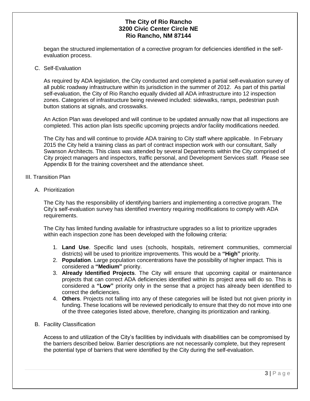began the structured implementation of a corrective program for deficiencies identified in the selfevaluation process.

#### C. Self-Evaluation

As required by ADA legislation, the City conducted and completed a partial self-evaluation survey of all public roadway infrastructure within its jurisdiction in the summer of 2012. As part of this partial self-evaluation, the City of Rio Rancho equally divided all ADA infrastructure into 12 inspection zones. Categories of infrastructure being reviewed included: sidewalks, ramps, pedestrian push button stations at signals, and crosswalks.

An Action Plan was developed and will continue to be updated annually now that all inspections are completed. This action plan lists specific upcoming projects and/or facility modifications needed.

The City has and will continue to provide ADA training to City staff where applicable. In February 2015 the City held a training class as part of contract inspection work with our consultant, Sally Swanson Architects. This class was attended by several Departments within the City comprised of City project managers and inspectors, traffic personal, and Development Services staff. Please see Appendix B for the training coversheet and the attendance sheet.

#### III. Transition Plan

A. Prioritization

The City has the responsibility of identifying barriers and implementing a corrective program. The City's self-evaluation survey has identified inventory requiring modifications to comply with ADA requirements.

The City has limited funding available for infrastructure upgrades so a list to prioritize upgrades within each inspection zone has been developed with the following criteria:

- 1. **Land Use**. Specific land uses (schools, hospitals, retirement communities, commercial districts) will be used to prioritize improvements. This would be a **"High"** priority.
- 2. **Population**. Large population concentrations have the possibility of higher impact. This is considered a **"Medium"** priority.
- 3. **Already Identified Projects**. The City will ensure that upcoming capital or maintenance projects that can correct ADA deficiencies identified within its project area will do so. This is considered a **"Low"** priority only in the sense that a project has already been identified to correct the deficiencies.
- 4. **Others**. Projects not falling into any of these categories will be listed but not given priority in funding. These locations will be reviewed periodically to ensure that they do not move into one of the three categories listed above, therefore, changing its prioritization and ranking.

#### B. Facility Classification

Access to and utilization of the City's facilities by individuals with disabilities can be compromised by the barriers described below. Barrier descriptions are not necessarily complete, but they represent the potential type of barriers that were identified by the City during the self-evaluation.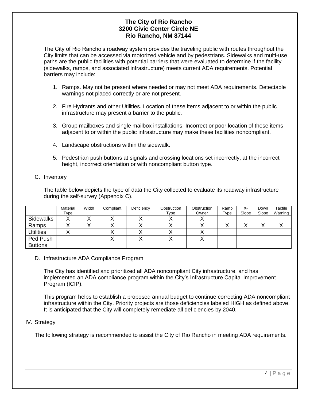The City of Rio Rancho's roadway system provides the traveling public with routes throughout the City limits that can be accessed via motorized vehicle and by pedestrians. Sidewalks and multi-use paths are the public facilities with potential barriers that were evaluated to determine if the facility (sidewalks, ramps, and associated infrastructure) meets current ADA requirements. Potential barriers may include:

- 1. Ramps. May not be present where needed or may not meet ADA requirements. Detectable warnings not placed correctly or are not present.
- 2. Fire Hydrants and other Utilities. Location of these items adjacent to or within the public infrastructure may present a barrier to the public.
- 3. Group mailboxes and single mailbox installations. Incorrect or poor location of these items adjacent to or within the public infrastructure may make these facilities noncompliant.
- 4. Landscape obstructions within the sidewalk.
- 5. Pedestrian push buttons at signals and crossing locations set incorrectly, at the incorrect height, incorrect orientation or with noncompliant button type.
- C. Inventory

The table below depicts the type of data the City collected to evaluate its roadway infrastructure during the self-survey (Appendix C).

|                  | Material<br>Type | Width | Compliant | Deficiency | Obstruction<br>Type | Obstruction<br>Owner | Ramp<br>Type | х-<br>Slope | Down<br>Slope | Tactile<br>Warning |
|------------------|------------------|-------|-----------|------------|---------------------|----------------------|--------------|-------------|---------------|--------------------|
| Sidewalks        |                  |       |           |            |                     |                      |              |             |               |                    |
| Ramps            |                  |       |           |            |                     |                      |              |             |               |                    |
| <b>Utilities</b> |                  |       |           |            |                     |                      |              |             |               |                    |
| Ped Push         |                  |       |           |            |                     |                      |              |             |               |                    |
| <b>Buttons</b>   |                  |       |           |            |                     |                      |              |             |               |                    |

D. Infrastructure ADA Compliance Program

The City has identified and prioritized all ADA noncompliant City infrastructure, and has implemented an ADA compliance program within the City's Infrastructure Capital Improvement Program (ICIP).

This program helps to establish a proposed annual budget to continue correcting ADA noncompliant infrastructure within the City. Priority projects are those deficiencies labeled HIGH as defined above. It is anticipated that the City will completely remediate all deficiencies by 2040.

#### IV. Strategy

The following strategy is recommended to assist the City of Rio Rancho in meeting ADA requirements.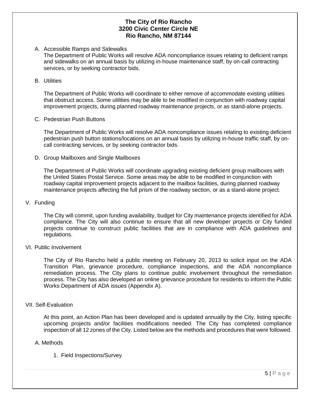A. Accessible Ramps and Sidewalks

The Department of Public Works will resolve ADA noncompliance issues relating to deficient ramps and sidewalks on an annual basis by utilizing in-house maintenance staff, by on-call contracting services, or by seeking contractor bids.

#### B. Utilities

The Department of Public Works will coordinate to either remove of accommodate existing utilities that obstruct access. Some utilities may be able to be modified in conjunction with roadway capital improvement projects, during planned roadway maintenance projects, or as stand-alone projects.

#### C. Pedestrian Push Buttons

The Department of Public Works will resolve ADA noncompliance issues relating to existing deficient pedestrian push button stations/locations on an annual basis by utilizing in-house traffic staff, by oncall contracting services, or by seeking contractor bids.

D. Group Mailboxes and Single Mailboxes

The Department of Public Works will coordinate upgrading existing deficient group mailboxes with the United States Postal Service. Some areas may be able to be modified in conjunction with roadway capital improvement projects adjacent to the mailbox facilities, during planned roadway maintenance projects affecting the full prism of the roadway section, or as a stand-alone project.

#### V. Funding

The City will commit, upon funding availability, budget for City maintenance projects identified for ADA compliance. The City will also continue to ensure that all new developer projects or City funded projects continue to construct public facilities that are in compliance with ADA guidelines and regulations.

VI. Public Involvement

The City of Rio Rancho held a public meeting on February 20, 2013 to solicit input on the ADA Transition Plan, grievance procedure, compliance inspections, and the ADA noncompliance remediation process. The City plans to continue public involvement throughout the remediation process. The City has also developed an online grievance procedure for residents to inform the Public Works Department of ADA issues (Appendix A).

#### VII. Self-Evaluation

At this point, an Action Plan has been developed and is updated annually by the City, listing specific upcoming projects and/or facilities modifications needed. The City has completed compliance inspection of all 12 zones of the City. Listed below are the methods and procedures that were followed.

#### A. Methods

1. Field Inspections/Survey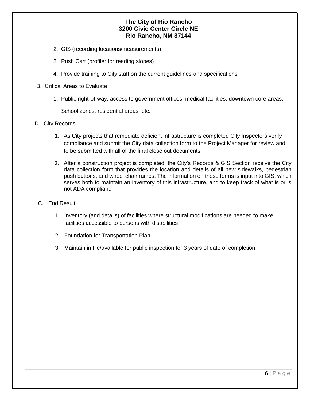- 2. GIS (recording locations/measurements)
- 3. Push Cart (profiler for reading slopes)
- 4. Provide training to City staff on the current guidelines and specifications
- B. Critical Areas to Evaluate
	- 1. Public right-of-way, access to government offices, medical facilities, downtown core areas,

School zones, residential areas, etc.

#### D. City Records

- 1. As City projects that remediate deficient infrastructure is completed City Inspectors verify compliance and submit the City data collection form to the Project Manager for review and to be submitted with all of the final close out documents.
- 2. After a construction project is completed, the City's Records & GIS Section receive the City data collection form that provides the location and details of all new sidewalks, pedestrian push buttons, and wheel chair ramps. The information on these forms is input into GIS, which serves both to maintain an inventory of this infrastructure, and to keep track of what is or is not ADA compliant.
- C. End Result
	- 1. Inventory (and details) of facilities where structural modifications are needed to make facilities accessible to persons with disabilities
	- 2. Foundation for Transportation Plan
	- 3. Maintain in file/available for public inspection for 3 years of date of completion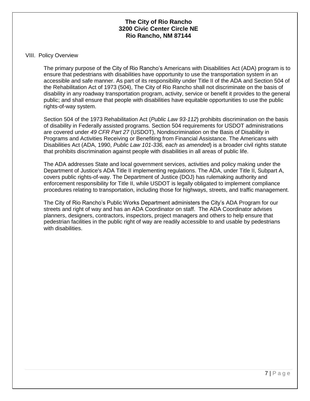#### VIII. Policy Overview

The primary purpose of the City of Rio Rancho's Americans with Disabilities Act (ADA) program is to ensure that pedestrians with disabilities have opportunity to use the transportation system in an accessible and safe manner. As part of its responsibility under Title II of the ADA and Section 504 of the Rehabilitation Act of 1973 (504), The City of Rio Rancho shall not discriminate on the basis of disability in any roadway transportation program, activity, service or benefit it provides to the general public; and shall ensure that people with disabilities have equitable opportunities to use the public rights-of-way system.

Section 504 of the 1973 Rehabilitation Act (*Public Law 93-112*) prohibits discrimination on the basis of disability in Federally assisted programs. Section 504 requirements for USDOT administrations are covered under *49 CFR Part 27* (USDOT), Nondiscrimination on the Basis of Disability in Programs and Activities Receiving or Benefiting from Financial Assistance. The Americans with Disabilities Act (ADA, 1990, *Public Law 101-336, each as amended*) is a broader civil rights statute that prohibits discrimination against people with disabilities in all areas of public life.

The ADA addresses State and local government services, activities and policy making under the Department of Justice's ADA Title II implementing regulations. The ADA, under Title II, Subpart A, covers public rights-of-way. The Department of Justice (DOJ) has rulemaking authority and enforcement responsibility for Title II, while USDOT is legally obligated to implement compliance procedures relating to transportation, including those for highways, streets, and traffic management.

The City of Rio Rancho's Public Works Department administers the City's ADA Program for our streets and right of way and has an ADA Coordinator on staff. The ADA Coordinator advises planners, designers, contractors, inspectors, project managers and others to help ensure that pedestrian facilities in the public right of way are readily accessible to and usable by pedestrians with disabilities.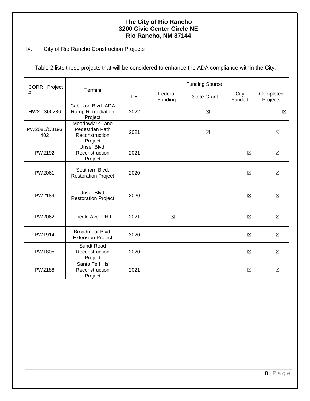# IX. City of Rio Rancho Construction Projects

Table 2 lists those projects that will be considered to enhance the ADA compliance within the City,

| CORR Project        |                                                                 | <b>Funding Source</b> |                    |                    |                |                       |  |  |
|---------------------|-----------------------------------------------------------------|-----------------------|--------------------|--------------------|----------------|-----------------------|--|--|
| #                   | Termini                                                         | <b>FY</b>             | Federal<br>Funding | <b>State Grant</b> | City<br>Funded | Completed<br>Projects |  |  |
| HW2-L300286         | Cabezon Blvd, ADA<br>Ramp Remediation<br>Project                | 2022                  |                    | $\boxtimes$        |                | $\boxtimes$           |  |  |
| PW2081/C3193<br>402 | Meadowlark Lane<br>Pedestrian Path<br>Reconstruction<br>Project | 2021                  |                    | $\boxtimes$        |                | $\boxtimes$           |  |  |
| PW2192              | Unser Blvd.<br>Reconstruction<br>Project                        | 2021                  |                    |                    | $\boxtimes$    | $\boxtimes$           |  |  |
| PW2061              | Southern Blvd.<br><b>Restoration Project</b>                    | 2020                  |                    |                    | $\boxtimes$    | $\boxtimes$           |  |  |
| PW2189              | Unser Blvd.<br><b>Restoration Project</b>                       | 2020                  |                    |                    | $\boxtimes$    | $\boxtimes$           |  |  |
| PW2062              | Lincoln Ave. PH II                                              | 2021                  | $\boxtimes$        |                    | $\boxtimes$    | $\boxtimes$           |  |  |
| PW1914              | Broadmoor Blvd.<br><b>Extension Project</b>                     | 2020                  |                    |                    | $\boxtimes$    | $\boxtimes$           |  |  |
| PW1805              | Sundt Road<br>Reconstruction<br>Project                         | 2020                  |                    |                    | $\boxtimes$    | $\boxtimes$           |  |  |
| PW2188              | Santa Fe Hills<br>Reconstruction<br>Project                     | 2021                  |                    |                    | $\boxtimes$    | $\boxtimes$           |  |  |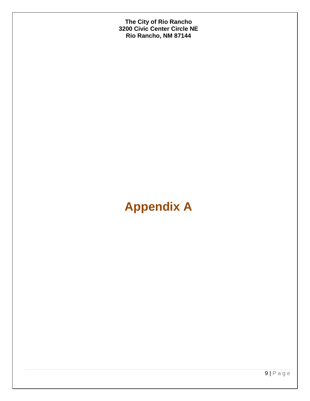# **Appendix A**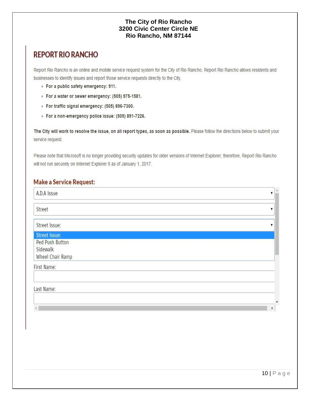# **REPORT RIO RANCHO**

Report Rio Rancho is an online and mobile service request system for the City of Rio Rancho. Report Rio Rancho allows residents and businesses to identify issues and report those service requests directly to the City.

- · For a public safety emergency: 911.
- For a water or sewer emergency: (505) 975-1581.
- · For traffic signal emergency: (505) 896-7300.
- · For a non-emergency police issue: (505) 891-7226.

The City will work to resolve the issue, on all report types, as soon as possible. Please follow the directions below to submit your service request.

Please note that Microsoft is no longer providing security updates for older versions of Internet Explorer; therefore, Report Rio Rancho will not run securely on Internet Explorer 8 as of January 1, 2017.

# **Make a Service Request:**

| A.D.A Issue                             | ▼ |  |
|-----------------------------------------|---|--|
| Street                                  | ▼ |  |
| Street Issue:                           |   |  |
| <b>Street Issue:</b><br>Ped Push Button |   |  |
| Sidewalk<br>Wheel Chair Ramp            |   |  |
| First Name:                             |   |  |
| Last Name:                              |   |  |
|                                         |   |  |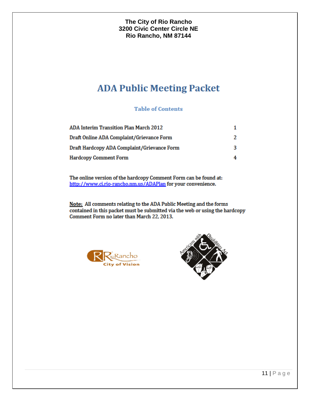# **ADA Public Meeting Packet**

### **Table of Contents**

| ADA Interim Transition Plan March 2012      |   |
|---------------------------------------------|---|
| Draft Online ADA Complaint/Grievance Form   |   |
| Draft Hardcopy ADA Complaint/Grievance Form | 3 |
| <b>Hardcopy Comment Form</b>                |   |

The online version of the hardcopy Comment Form can be found at: http://www.ci.rio-rancho.nm.us/ADAPlan for your convenience.

Note: All comments relating to the ADA Public Meeting and the forms contained in this packet must be submitted via the web or using the hardcopy Comment Form no later than March 22, 2013.



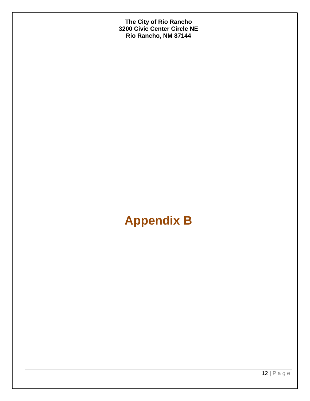# **Appendix B**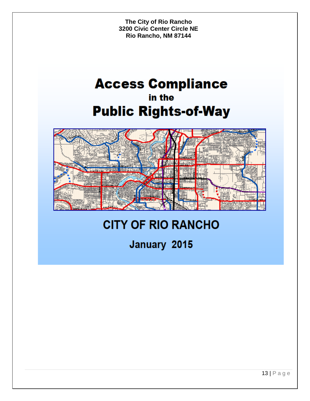# **Access Compliance** in the **Public Rights-of-Way**



# **CITY OF RIO RANCHO**

January 2015

13 | P a g e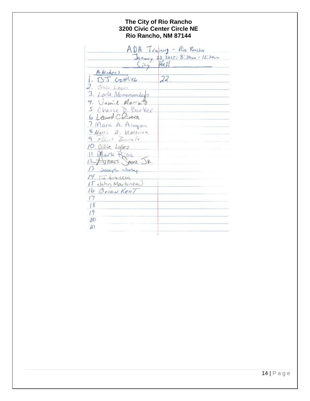|                     | ADA Training - Rio Racho           |
|---------------------|------------------------------------|
|                     | January 23, 2015: 8:30am - 12:30am |
|                     |                                    |
| Attendees           |                                    |
| 1. BJ Cottlieb      | 22                                 |
| 2. BILL LADD        |                                    |
| 3. Leila Momenzaden |                                    |
| 4. Vanil Mariato    |                                    |
| 5 Cherie D. Barker  |                                    |
| 6 Leanord Coltrera  |                                    |
| 7 Mark A. Aragon    |                                    |
| Ellaria A. Martinez |                                    |
| 9 Kobert Barely     |                                    |
| 10. Gillie Lopez    |                                    |
| 11 Mark Rios        |                                    |
| 12 FUDRES JAENZ JR. |                                    |
| 13 Joseph Nortay    |                                    |
| 14 I'm tocholeta    |                                    |
| 15 John Martineau   |                                    |
| 16 Brian Kent       |                                    |
| $\sqrt{ }$          |                                    |
| 18                  |                                    |
| 19                  |                                    |
| 20                  |                                    |
| a                   |                                    |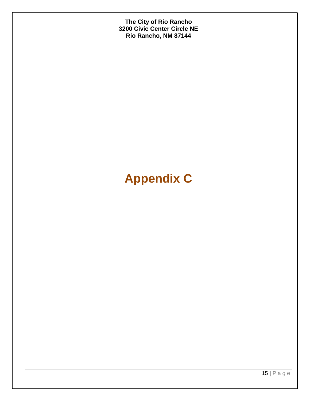# **Appendix C**